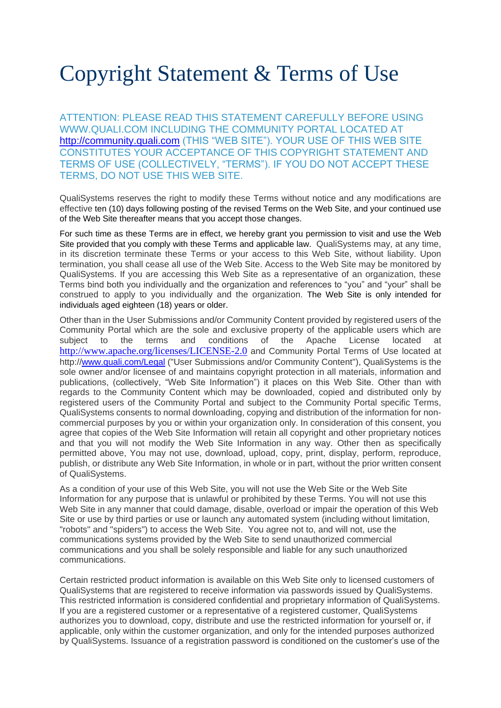# Copyright Statement & Terms of Use

ATTENTION: PLEASE READ THIS STATEMENT CAREFULLY BEFORE USING WWW.QUALI.COM INCLUDING THE COMMUNITY PORTAL LOCATED AT [http://community.quali.com](http://community.quali.com/) (THIS "WEB SITE"). YOUR USE OF THIS WEB SITE CONSTITUTES YOUR ACCEPTANCE OF THIS COPYRIGHT STATEMENT AND TERMS OF USE (COLLECTIVELY, "TERMS"). IF YOU DO NOT ACCEPT THESE TERMS, DO NOT USE THIS WEB SITE.

QualiSystems reserves the right to modify these Terms without notice and any modifications are effective ten (10) days following posting of the revised Terms on the Web Site, and your continued use of the Web Site thereafter means that you accept those changes.

For such time as these Terms are in effect, we hereby grant you permission to visit and use the Web Site provided that you comply with these Terms and applicable law.QualiSystems may, at any time, in its discretion terminate these Terms or your access to this Web Site, without liability. Upon termination, you shall cease all use of the Web Site. Access to the Web Site may be monitored by QualiSystems. If you are accessing this Web Site as a representative of an organization, these Terms bind both you individually and the organization and references to "you" and "your" shall be construed to apply to you individually and the organization. The Web Site is only intended for individuals aged eighteen (18) years or older.

Other than in the User Submissions and/or Community Content provided by registered users of the Community Portal which are the sole and exclusive property of the applicable users which are subject to the terms and conditions of the Apache License located at <http://www.apache.org/licenses/LICENSE-2.0> and Community Portal Terms of Use located at http:/[/www.quali.com/Legal](http://www.quali.com/legal) ("User Submissions and/or Community Content"), QualiSystems is the sole owner and/or licensee of and maintains copyright protection in all materials, information and publications, (collectively, "Web Site Information") it places on this Web Site. Other than with regards to the Community Content which may be downloaded, copied and distributed only by registered users of the Community Portal and subject to the Community Portal specific Terms, QualiSystems consents to normal downloading, copying and distribution of the information for noncommercial purposes by you or within your organization only. In consideration of this consent, you agree that copies of the Web Site Information will retain all copyright and other proprietary notices and that you will not modify the Web Site Information in any way. Other then as specifically permitted above, You may not use, download, upload, copy, print, display, perform, reproduce, publish, or distribute any Web Site Information, in whole or in part, without the prior written consent of QualiSystems.

As a condition of your use of this Web Site, you will not use the Web Site or the Web Site Information for any purpose that is unlawful or prohibited by these Terms. You will not use this Web Site in any manner that could damage, disable, overload or impair the operation of this Web Site or use by third parties or use or launch any automated system (including without limitation, "robots" and "spiders") to access the Web Site. You agree not to, and will not, use the communications systems provided by the Web Site to send unauthorized commercial communications and you shall be solely responsible and liable for any such unauthorized communications.

Certain restricted product information is available on this Web Site only to licensed customers of QualiSystems that are registered to receive information via passwords issued by QualiSystems. This restricted information is considered confidential and proprietary information of QualiSystems. If you are a registered customer or a representative of a registered customer, QualiSystems authorizes you to download, copy, distribute and use the restricted information for yourself or, if applicable, only within the customer organization, and only for the intended purposes authorized by QualiSystems. Issuance of a registration password is conditioned on the customer's use of the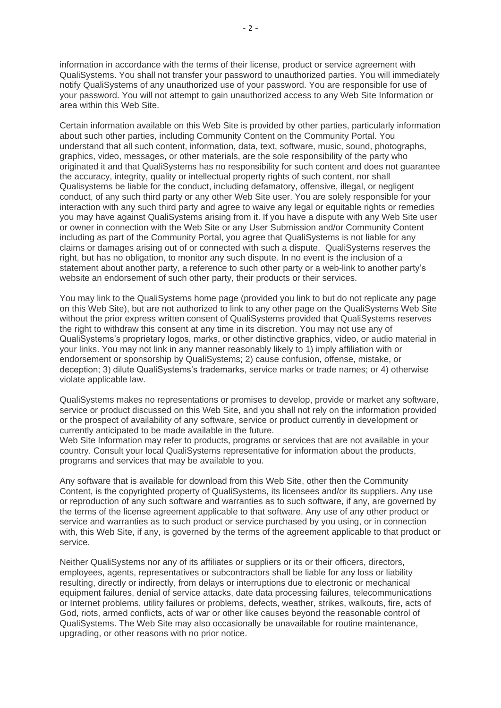information in accordance with the terms of their license, product or service agreement with QualiSystems. You shall not transfer your password to unauthorized parties. You will immediately notify QualiSystems of any unauthorized use of your password. You are responsible for use of your password. You will not attempt to gain unauthorized access to any Web Site Information or area within this Web Site.

Certain information available on this Web Site is provided by other parties, particularly information about such other parties, including Community Content on the Community Portal. You understand that all such content, information, data, text, software, music, sound, photographs, graphics, video, messages, or other materials, are the sole responsibility of the party who originated it and that QualiSystems has no responsibility for such content and does not guarantee the accuracy, integrity, quality or intellectual property rights of such content, nor shall Qualisystems be liable for the conduct, including defamatory, offensive, illegal, or negligent conduct, of any such third party or any other Web Site user. You are solely responsible for your interaction with any such third party and agree to waive any legal or equitable rights or remedies you may have against QualiSystems arising from it. If you have a dispute with any Web Site user or owner in connection with the Web Site or any User Submission and/or Community Content including as part of the Community Portal, you agree that QualiSystems is not liable for any claims or damages arising out of or connected with such a dispute. QualiSystems reserves the right, but has no obligation, to monitor any such dispute. In no event is the inclusion of a statement about another party, a reference to such other party or a web-link to another party's website an endorsement of such other party, their products or their services.

You may link to the QualiSystems home page (provided you link to but do not replicate any page on this Web Site), but are not authorized to link to any other page on the QualiSystems Web Site without the prior express written consent of QualiSystems provided that QualiSystems reserves the right to withdraw this consent at any time in its discretion. You may not use any of QualiSystems's proprietary logos, marks, or other distinctive graphics, video, or audio material in your links. You may not link in any manner reasonably likely to 1) imply affiliation with or endorsement or sponsorship by QualiSystems; 2) cause confusion, offense, mistake, or deception; 3) dilute QualiSystems's trademarks, service marks or trade names; or 4) otherwise violate applicable law.

QualiSystems makes no representations or promises to develop, provide or market any software, service or product discussed on this Web Site, and you shall not rely on the information provided or the prospect of availability of any software, service or product currently in development or currently anticipated to be made available in the future.

Web Site Information may refer to products, programs or services that are not available in your country. Consult your local QualiSystems representative for information about the products, programs and services that may be available to you.

Any software that is available for download from this Web Site, other then the Community Content, is the copyrighted property of QualiSystems, its licensees and/or its suppliers. Any use or reproduction of any such software and warranties as to such software, if any, are governed by the terms of the license agreement applicable to that software. Any use of any other product or service and warranties as to such product or service purchased by you using, or in connection with, this Web Site, if any, is governed by the terms of the agreement applicable to that product or service.

Neither QualiSystems nor any of its affiliates or suppliers or its or their officers, directors, employees, agents, representatives or subcontractors shall be liable for any loss or liability resulting, directly or indirectly, from delays or interruptions due to electronic or mechanical equipment failures, denial of service attacks, date data processing failures, telecommunications or Internet problems, utility failures or problems, defects, weather, strikes, walkouts, fire, acts of God, riots, armed conflicts, acts of war or other like causes beyond the reasonable control of QualiSystems. The Web Site may also occasionally be unavailable for routine maintenance, upgrading, or other reasons with no prior notice.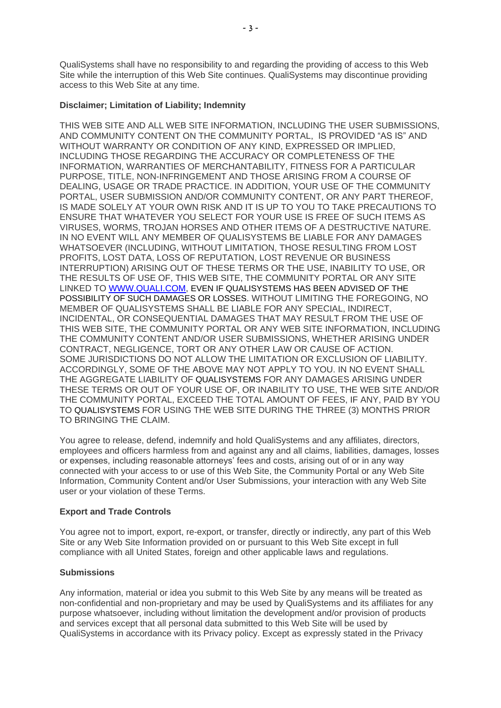QualiSystems shall have no responsibility to and regarding the providing of access to this Web Site while the interruption of this Web Site continues. QualiSystems may discontinue providing access to this Web Site at any time.

### **Disclaimer; Limitation of Liability; Indemnity**

THIS WEB SITE AND ALL WEB SITE INFORMATION, INCLUDING THE USER SUBMISSIONS, AND COMMUNITY CONTENT ON THE COMMUNITY PORTAL, IS PROVIDED "AS IS" AND WITHOUT WARRANTY OR CONDITION OF ANY KIND, EXPRESSED OR IMPLIED, INCLUDING THOSE REGARDING THE ACCURACY OR COMPLETENESS OF THE INFORMATION, WARRANTIES OF MERCHANTABILITY, FITNESS FOR A PARTICULAR PURPOSE, TITLE, NON-INFRINGEMENT AND THOSE ARISING FROM A COURSE OF DEALING, USAGE OR TRADE PRACTICE. IN ADDITION, YOUR USE OF THE COMMUNITY PORTAL, USER SUBMISSION AND/OR COMMUNITY CONTENT, OR ANY PART THEREOF, IS MADE SOLELY AT YOUR OWN RISK AND IT IS UP TO YOU TO TAKE PRECAUTIONS TO ENSURE THAT WHATEVER YOU SELECT FOR YOUR USE IS FREE OF SUCH ITEMS AS VIRUSES, WORMS, TROJAN HORSES AND OTHER ITEMS OF A DESTRUCTIVE NATURE. IN NO EVENT WILL ANY MEMBER OF QUALISYSTEMS BE LIABLE FOR ANY DAMAGES WHATSOEVER (INCLUDING, WITHOUT LIMITATION, THOSE RESULTING FROM LOST PROFITS, LOST DATA, LOSS OF REPUTATION, LOST REVENUE OR BUSINESS INTERRUPTION) ARISING OUT OF THESE TERMS OR THE USE, INABILITY TO USE, OR THE RESULTS OF USE OF, THIS WEB SITE, THE COMMUNITY PORTAL OR ANY SITE LINKED TO [WWW.QUALI.COM,](http://www.qualisystems.com/) EVEN IF QUALISYSTEMS HAS BEEN ADVISED OF THE POSSIBILITY OF SUCH DAMAGES OR LOSSES. WITHOUT LIMITING THE FOREGOING, NO MEMBER OF QUALISYSTEMS SHALL BE LIABLE FOR ANY SPECIAL, INDIRECT, INCIDENTAL, OR CONSEQUENTIAL DAMAGES THAT MAY RESULT FROM THE USE OF THIS WEB SITE, THE COMMUNITY PORTAL OR ANY WEB SITE INFORMATION, INCLUDING THE COMMUNITY CONTENT AND/OR USER SUBMISSIONS, WHETHER ARISING UNDER CONTRACT, NEGLIGENCE, TORT OR ANY OTHER LAW OR CAUSE OF ACTION. SOME JURISDICTIONS DO NOT ALLOW THE LIMITATION OR EXCLUSION OF LIABILITY. ACCORDINGLY, SOME OF THE ABOVE MAY NOT APPLY TO YOU. IN NO EVENT SHALL THE AGGREGATE LIABILITY OF QUALISYSTEMS FOR ANY DAMAGES ARISING UNDER THESE TERMS OR OUT OF YOUR USE OF, OR INABILITY TO USE, THE WEB SITE AND/OR THE COMMUNITY PORTAL, EXCEED THE TOTAL AMOUNT OF FEES, IF ANY, PAID BY YOU TO QUALISYSTEMS FOR USING THE WEB SITE DURING THE THREE (3) MONTHS PRIOR TO BRINGING THE CLAIM.

You agree to release, defend, indemnify and hold QualiSystems and any affiliates, directors, employees and officers harmless from and against any and all claims, liabilities, damages, losses or expenses, including reasonable attorneys' fees and costs, arising out of or in any way connected with your access to or use of this Web Site, the Community Portal or any Web Site Information, Community Content and/or User Submissions, your interaction with any Web Site user or your violation of these Terms.

### **Export and Trade Controls**

You agree not to import, export, re-export, or transfer, directly or indirectly, any part of this Web Site or any Web Site Information provided on or pursuant to this Web Site except in full compliance with all United States, foreign and other applicable laws and regulations.

### **Submissions**

Any information, material or idea you submit to this Web Site by any means will be treated as non-confidential and non-proprietary and may be used by QualiSystems and its affiliates for any purpose whatsoever, including without limitation the development and/or provision of products and services except that all personal data submitted to this Web Site will be used by QualiSystems in accordance with its Privacy policy. Except as expressly stated in the Privacy